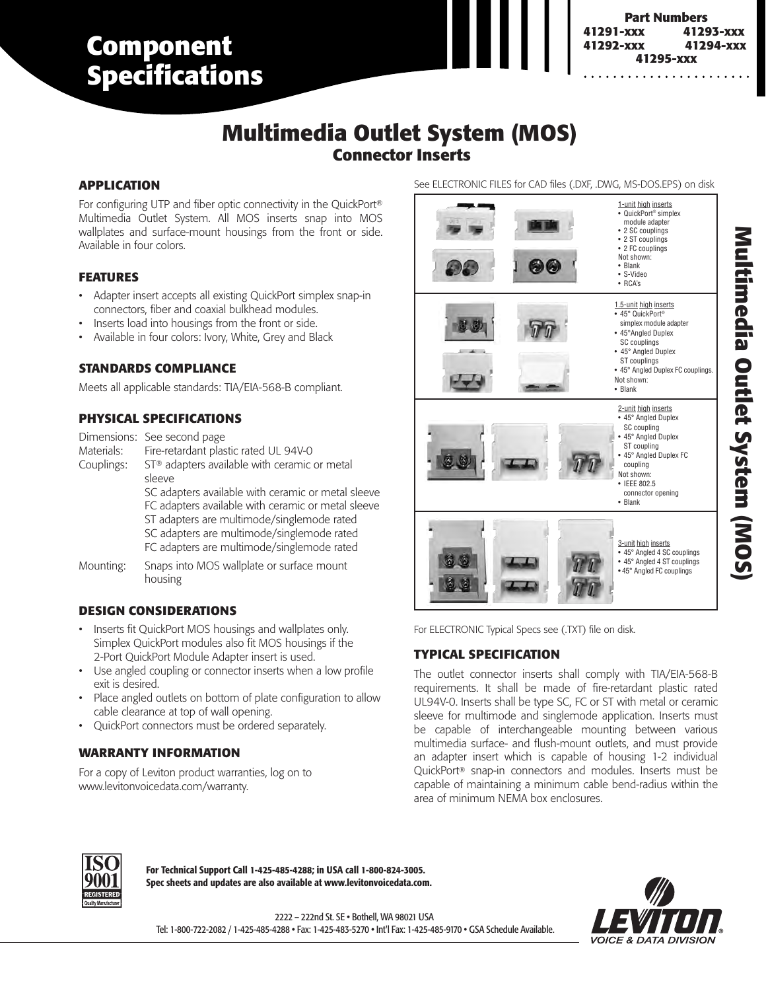# **Component Specifications**

#### **3880-DIN 41295-xxx Part Numbers**<br>41291-xxx 4129 **41291-xxx 41293-xxx 41292-xxx 41294-xxx**

# **Multimedia Outlet System (MOS) Connector Inserts**

### **APPLICATION**

For configuring UTP and fiber optic connectivity in the QuickPort® Multimedia Outlet System. All MOS inserts snap into MOS wallplates and surface-mount housings from the front or side. Available in four colors.

#### **FEATURES**

- Adapter insert accepts all existing QuickPort simplex snap-in connectors, fiber and coaxial bulkhead modules.
- Inserts load into housings from the front or side.
- Available in four colors: Ivory, White, Grey and Black

#### **STANDARDS COMPLIANCE**

Meets all applicable standards: TIA/EIA-568-B compliant.

### **PHYSICAL SPECIFICATIONS**

Dimensions: See second page Materials: Fire-retardant plastic rated UL 94V-0 Couplings: ST® adapters available with ceramic or metal sleeve SC adapters available with ceramic or metal sleeve FC adapters available with ceramic or metal sleeve ST adapters are multimode/singlemode rated SC adapters are multimode/singlemode rated FC adapters are multimode/singlemode rated Mounting: Snaps into MOS wallplate or surface mount

### **DESIGN CONSIDERATIONS**

housing

- Inserts fit QuickPort MOS housings and wallplates only. Simplex QuickPort modules also fit MOS housings if the 2-Port QuickPort Module Adapter insert is used.
- Use angled coupling or connector inserts when a low profile exit is desired.
- Place angled outlets on bottom of plate configuration to allow cable clearance at top of wall opening.
- QuickPort connectors must be ordered separately.

### **WARRANTY INFORMATION**

For a copy of Leviton product warranties, log on to www.levitonvoicedata.com/warranty.

See ELECTRONIC FILES for CAD files (.DXF, .DWG, MS-DOS.EPS) on disk



For ELECTRONIC Typical Specs see (.TXT) file on disk.

## **TYPICAL SPECIFICATION**

The outlet connector inserts shall comply with TIA/EIA-568-B requirements. It shall be made of fire-retardant plastic rated UL94V-0. Inserts shall be type SC, FC or ST with metal or ceramic sleeve for multimode and singlemode application. Inserts must be capable of interchangeable mounting between various multimedia surface- and flush-mount outlets, and must provide an adapter insert which is capable of housing 1-2 individual QuickPort® snap-in connectors and modules. Inserts must be capable of maintaining a minimum cable bend-radius within the area of minimum NEMA box enclosures.



**For Technical Support Call 1-425-485-4288; in USA call 1-800-824-3005. Spec sheets and updates are also available at www.levitonvoicedata.com.**



2222 – 222nd St. SE • Bothell, WA 98021 USA Tel: 1-800-722-2082 / 1-425-485-4288 • Fax: 1-425-483-5270 • Int'l Fax: 1-425-485-9170 • GSA Schedule Available.